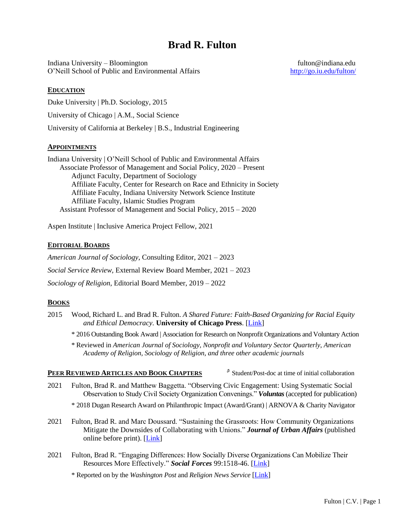# **Brad R. Fulton**

Indiana University – Bloomington fulton@indiana.edu O'Neill School of Public and Environmental Affairs <http://go.iu.edu/fulton/>

# **EDUCATION**

Duke University | Ph.D. Sociology, 2015

University of Chicago | A.M., Social Science

University of California at Berkeley | B.S., Industrial Engineering

# **APPOINTMENTS**

Indiana University | O'Neill School of Public and Environmental Affairs Associate Professor of Management and Social Policy, 2020 – Present Adjunct Faculty, Department of Sociology Affiliate Faculty, Center for Research on Race and Ethnicity in Society Affiliate Faculty, Indiana University Network Science Institute Affiliate Faculty, Islamic Studies Program Assistant Professor of Management and Social Policy, 2015 – 2020

Aspen Institute | Inclusive America Project Fellow, 2021

# **EDITORIAL BOARDS**

*American Journal of Sociology*, Consulting Editor, 2021 – 2023 *Social Service Review,* External Review Board Member, 2021 – 2023 *Sociology of Religion*, Editorial Board Member, 2019 – 2022

# **BOOKS**

- 2015 Wood, Richard L. and Brad R. Fulton. *A Shared Future: Faith-Based Organizing for Racial Equity and Ethical Democracy.* **University of Chicago Press**. [\[Link\]](https://press.uchicago.edu/ucp/books/book/chicago/S/bo21803891.html)
	- \* 2016 Outstanding Book Award | Association for Research on Nonprofit Organizations and Voluntary Action
	- \* Reviewed in *American Journal of Sociology, Nonprofit and Voluntary Sector Quarterly*, *American Academy of Religion, Sociology of Religion*, *and three other academic journals*

# **PEER REVIEWED ARTICLES AND BOOK CHAPTERS** ⸈ Student/Post-doc at time of initial collaboration

- 2021 Fulton, Brad R. and Matthew Baggetta. "Observing Civic Engagement: Using Systematic Social Observation to Study Civil Society Organization Convenings." *Voluntas* (accepted for publication)
	- \* 2018 Dugan Research Award on Philanthropic Impact (Award/Grant) | ARNOVA & Charity Navigator
- 2021 Fulton, Brad R. and Marc Doussard. "Sustaining the Grassroots: How Community Organizations Mitigate the Downsides of Collaborating with Unions." *Journal of Urban Affairs* (published online before print). [\[Link\]](https://doi.org/10.1080/07352166.2021.1874246)
- 2021 Fulton, Brad R. "Engaging Differences: How Socially Diverse Organizations Can Mobilize Their Resources More Effectively." *Social Forces* 99:1518-46. [\[Link\]](https://doi.org/10.1093/sf/soaa088)

\* Reported on by the *Washington Post* and *Religion News Service* [\[Link\]](https://religionnews.com/2020/02/24/across-races-and-faiths-regional-coalitions-seek-social-justice-with-solidarity/)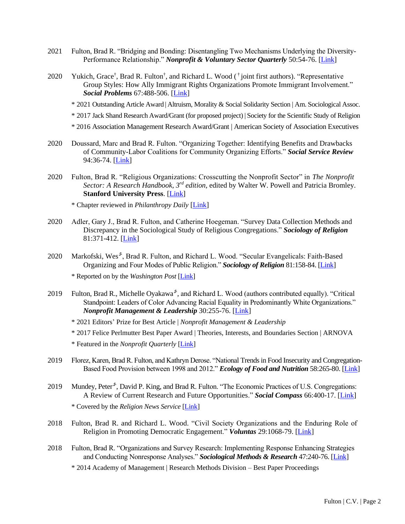- 2021 Fulton, Brad R. "Bridging and Bonding: Disentangling Two Mechanisms Underlying the Diversity-Performance Relationship." *Nonprofit & Voluntary Sector Quarterly* 50:54-76. [\[Link\]](https://doi.org/10.1177/0899764020939654)
- 2020 Yukich, Grace<sup>†</sup>, Brad R. Fulton<sup>†</sup>, and Richard L. Wood (<sup>†</sup> joint first authors). "Representative Group Styles: How Ally Immigrant Rights Organizations Promote Immigrant Involvement." *Social Problems* 67:488-506. [\[Link\]](https://doi.org/10.1093/socpro/spz025)
	- \* 2021 Outstanding Article Award | Altruism, Morality & Social Solidarity Section | Am. Sociological Assoc.
	- \* 2017 Jack Shand Research Award/Grant (for proposed project) | Society for the Scientific Study of Religion
	- \* 2016 Association Management Research Award/Grant | American Society of Association Executives
- 2020 Doussard, Marc and Brad R. Fulton. "Organizing Together: Identifying Benefits and Drawbacks of Community-Labor Coalitions for Community Organizing Efforts." *Social Service Review* 94:36-74. [\[Link\]](https://doi.org/10.1086/707568)
- 2020 Fulton, Brad R. "Religious Organizations: Crosscutting the Nonprofit Sector" in *The Nonprofit Sector: A Research Handbook, 3rd edition,* edited by Walter W. Powell and Patricia Bromley. **Stanford University Press**. [\[Link\]](https://www.sup.org/books/title/?id=30371)

\* Chapter reviewed in *Philanthropy Daily* [\[Link\]](https://www.philanthropydaily.com/religious-organizations-in-the-nonprofit-sector/)

- 2020 Adler, Gary J., Brad R. Fulton, and Catherine Hoegeman. "Survey Data Collection Methods and Discrepancy in the Sociological Study of Religious Congregations." *Sociology of Religion* 81:371-412. [\[Link\]](https://doi.org/10.1093/socrel/sraa002)
- 2020 Markofski, Wes<sup>s</sup>, Brad R. Fulton, and Richard L. Wood. "Secular Evangelicals: Faith-Based Organizing and Four Modes of Public Religion." *Sociology of Religion* 81:158-84. [\[Link\]](https://doi.org/10.1093/socrel/srz045) \* Reported on by the *Washington Post* [\[Link\]](https://www.washingtonpost.com/national/evangelicals-downplay-religious-expression-when-working-with-secular-groups/2020/03/03/56b8f4a4-5d4f-11ea-ac50-18701e14e06d_story.html)
- 2019 Fulton, Brad R., Michelle Oyakawa<sup>s</sup>, and Richard L. Wood (authors contributed equally). "Critical Standpoint: Leaders of Color Advancing Racial Equality in Predominantly White Organizations." *Nonprofit Management & Leadership* 30:255-76. [\[Link\]](https://doi.org/10.1002/nml.21387)
	- \* 2021 Editors' Prize for Best Article | *Nonprofit Management & Leadership*
	- \* 2017 Felice Perlmutter Best Paper Award | Theories, Interests, and Boundaries Section | ARNOVA
	- \* Featured in the *Nonprofit Quarterly* [\[Link\]](https://nonprofitquarterly.org/board-diversity-is-just-one-step-on-the-road-to-nonprofit-racial-equity/)
- 2019 Florez, Karen, Brad R. Fulton, and Kathryn Derose. "National Trends in Food Insecurity and Congregation-Based Food Provision between 1998 and 2012." *Ecology of Food and Nutrition* 58:265-80. [\[Link\]](https://doi.org/10.1080/03670244.2019.1598979)
- 2019 Mundey, Peter<sup>5</sup>, David P. King, and Brad R. Fulton. "The Economic Practices of U.S. Congregations: A Review of Current Research and Future Opportunities." *Social Compass* 66:400-17. [\[Link\]](https://doi.org/10.1177/0037768619852230) \* Covered by the *Religion News Service* [\[Link\]](https://religionnews.com/2019/10/16/study-religious-attendance-flatlining-but-giving-remains-strong/)
- 2018 Fulton, Brad R. and Richard L. Wood. "Civil Society Organizations and the Enduring Role of Religion in Promoting Democratic Engagement." *Voluntas* 29:1068-79. [\[Link\]](https://doi.org/10.1007/s11266-018-9965-2)
- 2018 Fulton, Brad R. "Organizations and Survey Research: Implementing Response Enhancing Strategies and Conducting Nonresponse Analyses." *Sociological Methods & Research* 47:240-76. [\[Link\]](https://doi.org/10.1177/0049124115626169)
	- \* 2014 Academy of Management | Research Methods Division Best Paper Proceedings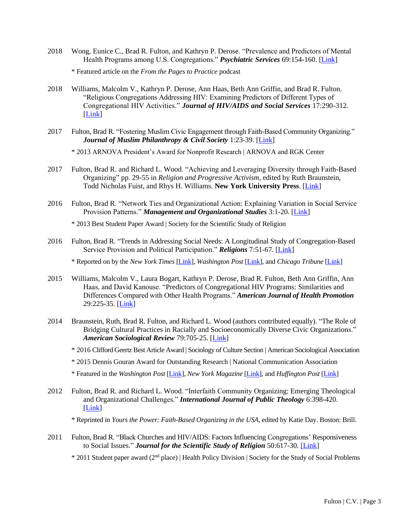- 2018 Wong, Eunice C., Brad R. Fulton, and Kathryn P. Derose. "Prevalence and Predictors of Mental Health Programs among U.S. Congregations." *Psychiatric Services* 69:154-160. [\[Link\]](https://doi.org/10.1176/appi.ps.201600457) \* Featured article on the *From the Pages to Practice* podcast
- 2018 Williams, Malcolm V., Kathryn P. Derose, Ann Haas, Beth Ann Griffin, and Brad R. Fulton. "Religious Congregations Addressing HIV: Examining Predictors of Different Types of Congregational HIV Activities." *Journal of HIV/AIDS and Social Services* 17:290-312. [\[Link\]](https://doi.org/10.1080/15381501.2018.1477641)
- 2017 Fulton, Brad R. "Fostering Muslim Civic Engagement through Faith-Based Community Organizing." *Journal of Muslim Philanthropy & Civil Society* 1:23-39. [\[Link\]](https://scholarworks.iu.edu/iupjournals/index.php/muslimphilanthropy/article/view/1636/172)
	- \* 2013 ARNOVA President's Award for Nonprofit Research | ARNOVA and RGK Center
- 2017 Fulton, Brad R. and Richard L. Wood. "Achieving and Leveraging Diversity through Faith-Based Organizing" pp. 29-55 in *Religion and Progressive Activism,* edited by Ruth Braunstein, Todd Nicholas Fuist, and Rhys H. Williams. **New York University Press**. [\[Link\]](http://hdl.handle.net/2022/22879)
- 2016 Fulton, Brad R. "Network Ties and Organizational Action: Explaining Variation in Social Service Provision Patterns." *Management and Organizational Studies* 3:1-20. [\[Link\]](https://doi.org/10.5430/mos.v3n3p1)

\* 2013 Best Student Paper Award | Society for the Scientific Study of Religion

2016 Fulton, Brad R. "Trends in Addressing Social Needs: A Longitudinal Study of Congregation-Based Service Provision and Political Participation." *Religions* 7:51-67. [\[Link\]](https://doi.org/10.3390/rel7050051)

\* Reported on by the *New York Times* [\[Link\]](https://apnews.com/fb04f3ee153741f4a30c79828cde2bd7/After-Trump,-an-evangelical-examination-of-conscience), *Washington Post* [\[Link\]](https://apnews.com/6ea525db17b34c43b7c0598b9de66c27/Trump%27s-church-politics-idea-has-wide-reach,-beyond-GOP-base), and *Chicago Tribune* [\[Link\]](http://religionnews.com/2017/02/17/destroy-the-johnson-amendment-trumps-rhetoric-meets-reality/)

- 2015 Williams, Malcolm V., Laura Bogart, Kathryn P. Derose, Brad R. Fulton, Beth Ann Griffin, Ann Haas, and David Kanouse. "Predictors of Congregational HIV Programs: Similarities and Differences Compared with Other Health Programs." *American Journal of Health Promotion* 29:225-35. [\[Link\]](https://doi.org/10.4278/ajhp.130531-QUAN-280)
- 2014 Braunstein, Ruth, Brad R. Fulton, and Richard L. Wood (authors contributed equally). "The Role of Bridging Cultural Practices in Racially and Socioeconomically Diverse Civic Organizations." *American Sociological Review* 79:705-25. [\[Link\]](https://doi.org/10.1177/0003122414538966)
	- \* 2016 Clifford Geertz Best Article Award | Sociology of Culture Section | American Sociological Association
	- \* 2015 Dennis Gouran Award for Outstanding Research | National Communication Association
	- \* Featured in the *Washington Post* [\[Link\]](http://www.washingtonpost.com/national/religion/study-interfaith-civic-groups-bridge-diversity-with-participatory-prayers/2014/06/25/6e7bfb10-fcaa-11e3-9b05-7ec49dc09d97_story.html), *New York Magazine* [\[Link\]](http://nymag.com/scienceofus/2014/06/prayer-can-help-bridge-intergroup-differences.html), and *Huffington Post* [\[Link\]](http://www.huffingtonpost.com/2014/07/06/interfaith-prayer-diversity_n_5527283.html)
- 2012 Fulton, Brad R. and Richard L. Wood. "Interfaith Community Organizing: Emerging Theological and Organizational Challenges." *International Journal of Public Theology* 6:398-420. [\[Link\]](https://doi.org/10.1163/15697320-12341252)

\* Reprinted in *Yours the Power: Faith-Based Organizing in the USA*, edited by Katie Day. Boston: Brill.

2011 Fulton, Brad R. "Black Churches and HIV/AIDS: Factors Influencing Congregations' Responsiveness to Social Issues." *Journal for the Scientific Study of Religion* 50:617-30*.* [\[Link\]](https://doi.org/10.1111/j.1468-5906.2011.01579.x)

\* 2011 Student paper award (2nd place) | Health Policy Division | Society for the Study of Social Problems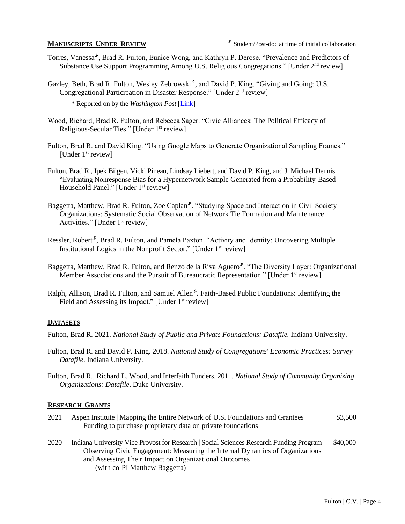- Torres, Vanessa<sup>s</sup>, Brad R. Fulton, Eunice Wong, and Kathryn P. Derose. "Prevalence and Predictors of Substance Use Support Programming Among U.S. Religious Congregations." [Under 2<sup>nd</sup> review]
- Gazley, Beth, Brad R. Fulton, Wesley Zebrowski<sup>s</sup>, and David P. King. "Giving and Going: U.S. Congregational Participation in Disaster Response." [Under 2nd review]

\* Reported on by the *Washington Post* [\[Link\]](https://www.washingtonpost.com/religion/as-organized-religion-shrinks-faith-based-charities-worry-about-the-future/2020/10/23/21f364b8-1224-11eb-ba42-ec6a580836ed_story.html)

- Wood, Richard, Brad R. Fulton, and Rebecca Sager. "Civic Alliances: The Political Efficacy of Religious-Secular Ties." [Under 1<sup>st</sup> review]
- Fulton, Brad R. and David King. "Using Google Maps to Generate Organizational Sampling Frames." [Under 1<sup>st</sup> review]
- Fulton, Brad R., Ipek Bilgen, Vicki Pineau, Lindsay Liebert, and David P. King, and J. Michael Dennis. "Evaluating Nonresponse Bias for a Hypernetwork Sample Generated from a Probability-Based Household Panel." [Under 1<sup>st</sup> review]
- Baggetta, Matthew, Brad R. Fulton, Zoe Caplan<sup>5</sup>. "Studying Space and Interaction in Civil Society Organizations: Systematic Social Observation of Network Tie Formation and Maintenance Activities." [Under 1<sup>st</sup> review]
- Ressler, Robert<sup>s</sup>, Brad R. Fulton, and Pamela Paxton. "Activity and Identity: Uncovering Multiple Institutional Logics in the Nonprofit Sector." [Under 1<sup>st</sup> review]
- Baggetta, Matthew, Brad R. Fulton, and Renzo de la Riva Aguero<sup>s</sup>. "The Diversity Layer: Organizational Member Associations and the Pursuit of Bureaucratic Representation." [Under 1<sup>st</sup> review]
- Ralph, Allison, Brad R. Fulton, and Samuel Allen<sup>5</sup>. Faith-Based Public Foundations: Identifying the Field and Assessing its Impact." [Under 1<sup>st</sup> review]

### **DATASETS**

Fulton, Brad R. 2021. *National Study of Public and Private Foundations: Datafile.* Indiana University.

- Fulton, Brad R. and David P. King. 2018. *National Study of Congregations' Economic Practices: Survey Datafile*. Indiana University.
- Fulton, Brad R., Richard L. Wood, and Interfaith Funders. 2011. *National Study of Community Organizing Organizations: Datafile*. Duke University.

#### **RESEARCH GRANTS**

- 2021 Aspen Institute | Mapping the Entire Network of U.S. Foundations and Grantees \$3,500 Funding to purchase proprietary data on private foundations
- 2020 Indiana University Vice Provost for Research | Social Sciences Research Funding Program \$40,000 Observing Civic Engagement: Measuring the Internal Dynamics of Organizations and Assessing Their Impact on Organizational Outcomes (with co-PI Matthew Baggetta)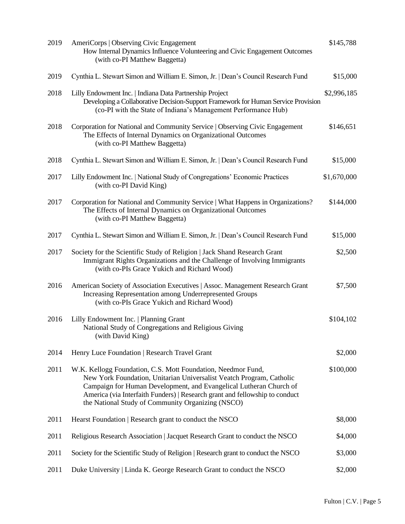| 2019 | AmeriCorps   Observing Civic Engagement<br>How Internal Dynamics Influence Volunteering and Civic Engagement Outcomes<br>(with co-PI Matthew Baggetta)                                                                                                                                                                                         | \$145,788   |
|------|------------------------------------------------------------------------------------------------------------------------------------------------------------------------------------------------------------------------------------------------------------------------------------------------------------------------------------------------|-------------|
| 2019 | Cynthia L. Stewart Simon and William E. Simon, Jr.   Dean's Council Research Fund                                                                                                                                                                                                                                                              | \$15,000    |
| 2018 | Lilly Endowment Inc.   Indiana Data Partnership Project<br>Developing a Collaborative Decision-Support Framework for Human Service Provision<br>(co-PI with the State of Indiana's Management Performance Hub)                                                                                                                                 | \$2,996,185 |
| 2018 | Corporation for National and Community Service   Observing Civic Engagement<br>The Effects of Internal Dynamics on Organizational Outcomes<br>(with co-PI Matthew Baggetta)                                                                                                                                                                    | \$146,651   |
| 2018 | Cynthia L. Stewart Simon and William E. Simon, Jr.   Dean's Council Research Fund                                                                                                                                                                                                                                                              | \$15,000    |
| 2017 | Lilly Endowment Inc.   National Study of Congregations' Economic Practices<br>(with co-PI David King)                                                                                                                                                                                                                                          | \$1,670,000 |
| 2017 | Corporation for National and Community Service   What Happens in Organizations?<br>The Effects of Internal Dynamics on Organizational Outcomes<br>(with co-PI Matthew Baggetta)                                                                                                                                                                | \$144,000   |
| 2017 | Cynthia L. Stewart Simon and William E. Simon, Jr.   Dean's Council Research Fund                                                                                                                                                                                                                                                              | \$15,000    |
| 2017 | Society for the Scientific Study of Religion   Jack Shand Research Grant<br>Immigrant Rights Organizations and the Challenge of Involving Immigrants<br>(with co-PIs Grace Yukich and Richard Wood)                                                                                                                                            | \$2,500     |
| 2016 | American Society of Association Executives   Assoc. Management Research Grant<br>Increasing Representation among Underrepresented Groups<br>(with co-PIs Grace Yukich and Richard Wood)                                                                                                                                                        | \$7,500     |
| 2016 | Lilly Endowment Inc.   Planning Grant<br>National Study of Congregations and Religious Giving<br>(with David King)                                                                                                                                                                                                                             | \$104,102   |
| 2014 | Henry Luce Foundation   Research Travel Grant                                                                                                                                                                                                                                                                                                  | \$2,000     |
| 2011 | W.K. Kellogg Foundation, C.S. Mott Foundation, Needmor Fund,<br>New York Foundation, Unitarian Universalist Veatch Program, Catholic<br>Campaign for Human Development, and Evangelical Lutheran Church of<br>America (via Interfaith Funders)   Research grant and fellowship to conduct<br>the National Study of Community Organizing (NSCO) | \$100,000   |
| 2011 | Hearst Foundation   Research grant to conduct the NSCO                                                                                                                                                                                                                                                                                         | \$8,000     |
| 2011 | Religious Research Association   Jacquet Research Grant to conduct the NSCO                                                                                                                                                                                                                                                                    | \$4,000     |
| 2011 | Society for the Scientific Study of Religion   Research grant to conduct the NSCO                                                                                                                                                                                                                                                              | \$3,000     |
| 2011 | Duke University   Linda K. George Research Grant to conduct the NSCO                                                                                                                                                                                                                                                                           | \$2,000     |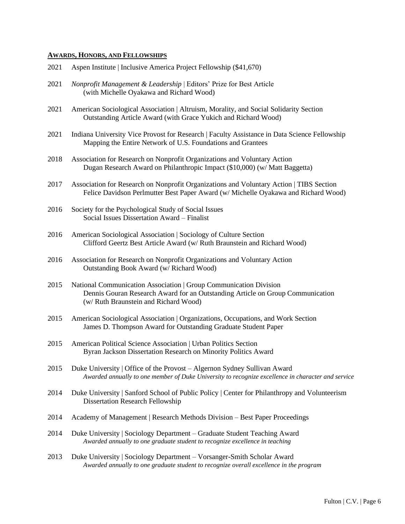# **AWARDS, HONORS, AND FELLOWSHIPS**

| 2021 | Aspen Institute   Inclusive America Project Fellowship (\$41,670)                                                                                                                            |
|------|----------------------------------------------------------------------------------------------------------------------------------------------------------------------------------------------|
| 2021 | Nonprofit Management & Leadership   Editors' Prize for Best Article<br>(with Michelle Oyakawa and Richard Wood)                                                                              |
| 2021 | American Sociological Association   Altruism, Morality, and Social Solidarity Section<br>Outstanding Article Award (with Grace Yukich and Richard Wood)                                      |
| 2021 | Indiana University Vice Provost for Research   Faculty Assistance in Data Science Fellowship<br>Mapping the Entire Network of U.S. Foundations and Grantees                                  |
| 2018 | Association for Research on Nonprofit Organizations and Voluntary Action<br>Dugan Research Award on Philanthropic Impact (\$10,000) (w/ Matt Baggetta)                                       |
| 2017 | Association for Research on Nonprofit Organizations and Voluntary Action   TIBS Section<br>Felice Davidson Perlmutter Best Paper Award (w/ Michelle Oyakawa and Richard Wood)                |
| 2016 | Society for the Psychological Study of Social Issues<br>Social Issues Dissertation Award - Finalist                                                                                          |
| 2016 | American Sociological Association   Sociology of Culture Section<br>Clifford Geertz Best Article Award (w/ Ruth Braunstein and Richard Wood)                                                 |
| 2016 | Association for Research on Nonprofit Organizations and Voluntary Action<br>Outstanding Book Award (w/ Richard Wood)                                                                         |
| 2015 | National Communication Association   Group Communication Division<br>Dennis Gouran Research Award for an Outstanding Article on Group Communication<br>(w/ Ruth Braunstein and Richard Wood) |
| 2015 | American Sociological Association   Organizations, Occupations, and Work Section<br>James D. Thompson Award for Outstanding Graduate Student Paper                                           |
| 2015 | American Political Science Association   Urban Politics Section<br>Byran Jackson Dissertation Research on Minority Politics Award                                                            |
| 2015 | Duke University   Office of the Provost – Algernon Sydney Sullivan Award<br>Awarded annually to one member of Duke University to recognize excellence in character and service               |
| 2014 | Duke University   Sanford School of Public Policy   Center for Philanthropy and Volunteerism<br>Dissertation Research Fellowship                                                             |
| 2014 | Academy of Management   Research Methods Division - Best Paper Proceedings                                                                                                                   |
| 2014 | Duke University   Sociology Department – Graduate Student Teaching Award<br>Awarded annually to one graduate student to recognize excellence in teaching                                     |
| 2013 | Duke University   Sociology Department - Vorsanger-Smith Scholar Award<br>Awarded annually to one graduate student to recognize overall excellence in the program                            |
|      |                                                                                                                                                                                              |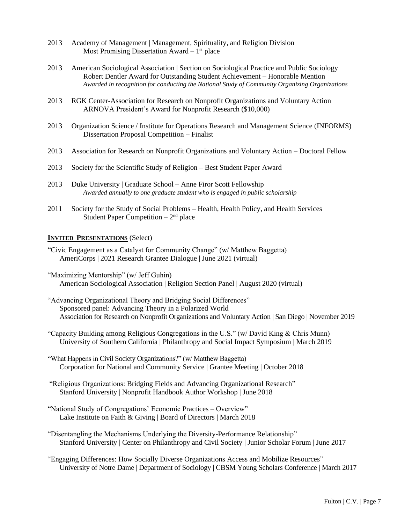- 2013 Academy of Management | Management, Spirituality, and Religion Division Most Promising Dissertation Award - 1<sup>st</sup> place
- 2013 American Sociological Association | Section on Sociological Practice and Public Sociology Robert Dentler Award for Outstanding Student Achievement – Honorable Mention *Awarded in recognition for conducting the National Study of Community Organizing Organizations*
- 2013 RGK Center-Association for Research on Nonprofit Organizations and Voluntary Action ARNOVA President's Award for Nonprofit Research (\$10,000)
- 2013 Organization Science / Institute for Operations Research and Management Science (INFORMS) Dissertation Proposal Competition – Finalist
- 2013 Association for Research on Nonprofit Organizations and Voluntary Action Doctoral Fellow
- 2013 Society for the Scientific Study of Religion Best Student Paper Award
- 2013 Duke University | Graduate School Anne Firor Scott Fellowship *Awarded annually to one graduate student who is engaged in public scholarship*
- 2011 Society for the Study of Social Problems Health, Health Policy, and Health Services Student Paper Competition  $-2<sup>nd</sup>$  place

### **INVITED PRESENTATIONS** (Select)

- "Civic Engagement as a Catalyst for Community Change" (w/ Matthew Baggetta) AmeriCorps | 2021 Research Grantee Dialogue | June 2021 (virtual)
- "Maximizing Mentorship" (w/ Jeff Guhin) American Sociological Association | Religion Section Panel | August 2020 (virtual)
- "Advancing Organizational Theory and Bridging Social Differences" Sponsored panel: Advancing Theory in a Polarized World Association for Research on Nonprofit Organizations and Voluntary Action | San Diego | November 2019
- "Capacity Building among Religious Congregations in the U.S." (w/ David King & Chris Munn) University of Southern California | Philanthropy and Social Impact Symposium | March 2019
- "What Happens in Civil Society Organizations?" (w/ Matthew Baggetta) Corporation for National and Community Service | Grantee Meeting | October 2018
- "Religious Organizations: Bridging Fields and Advancing Organizational Research" Stanford University | Nonprofit Handbook Author Workshop | June 2018
- "National Study of Congregations' Economic Practices Overview" Lake Institute on Faith & Giving | Board of Directors | March 2018
- "Disentangling the Mechanisms Underlying the Diversity-Performance Relationship" Stanford University | Center on Philanthropy and Civil Society | Junior Scholar Forum | June 2017
- "Engaging Differences: How Socially Diverse Organizations Access and Mobilize Resources" University of Notre Dame | Department of Sociology | CBSM Young Scholars Conference | March 2017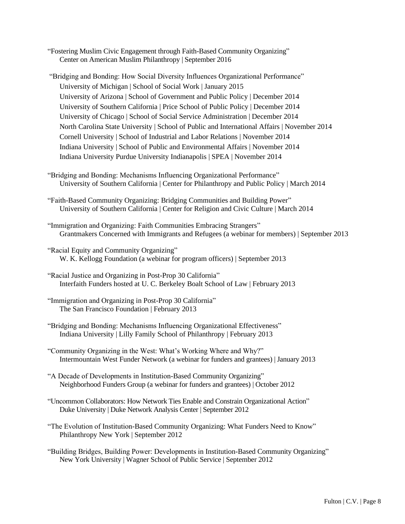- "Fostering Muslim Civic Engagement through Faith-Based Community Organizing" Center on American Muslim Philanthropy | September 2016
- "Bridging and Bonding: How Social Diversity Influences Organizational Performance" University of Michigan | School of Social Work | January 2015 University of Arizona | School of Government and Public Policy | December 2014 University of Southern California | Price School of Public Policy | December 2014 University of Chicago | School of Social Service Administration | December 2014 North Carolina State University | School of Public and International Affairs | November 2014 Cornell University | School of Industrial and Labor Relations | November 2014 Indiana University | School of Public and Environmental Affairs | November 2014 Indiana University Purdue University Indianapolis | SPEA | November 2014
- "Bridging and Bonding: Mechanisms Influencing Organizational Performance" University of Southern California | Center for Philanthropy and Public Policy | March 2014
- "Faith-Based Community Organizing: Bridging Communities and Building Power" University of Southern California | Center for Religion and Civic Culture | March 2014
- "Immigration and Organizing: Faith Communities Embracing Strangers" Grantmakers Concerned with Immigrants and Refugees (a webinar for members) | September 2013
- "Racial Equity and Community Organizing" W. K. Kellogg Foundation (a webinar for program officers) | September 2013
- "Racial Justice and Organizing in Post-Prop 30 California" Interfaith Funders hosted at U. C. Berkeley Boalt School of Law | February 2013
- "Immigration and Organizing in Post-Prop 30 California" The San Francisco Foundation | February 2013
- "Bridging and Bonding: Mechanisms Influencing Organizational Effectiveness" Indiana University | Lilly Family School of Philanthropy | February 2013
- "Community Organizing in the West: What's Working Where and Why?" Intermountain West Funder Network (a webinar for funders and grantees) | January 2013
- "A Decade of Developments in Institution-Based Community Organizing" Neighborhood Funders Group (a webinar for funders and grantees) | October 2012
- "Uncommon Collaborators: How Network Ties Enable and Constrain Organizational Action" Duke University | Duke Network Analysis Center | September 2012
- "The Evolution of Institution-Based Community Organizing: What Funders Need to Know" Philanthropy New York | September 2012
- "Building Bridges, Building Power: Developments in Institution-Based Community Organizing" New York University | Wagner School of Public Service | September 2012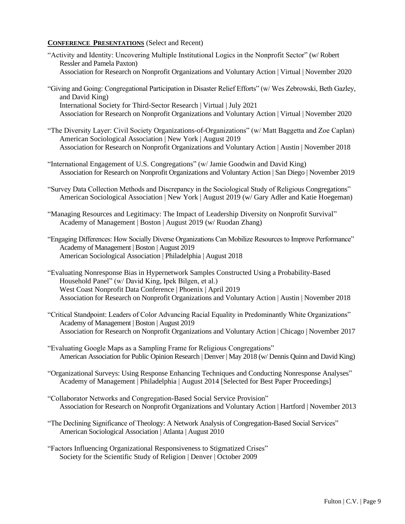# **CONFERENCE PRESENTATIONS** (Select and Recent)

- "Activity and Identity: Uncovering Multiple Institutional Logics in the Nonprofit Sector" (w/ Robert Ressler and Pamela Paxton) Association for Research on Nonprofit Organizations and Voluntary Action | Virtual | November 2020
- "Giving and Going: Congregational Participation in Disaster Relief Efforts" (w/ Wes Zebrowski, Beth Gazley, and David King) International Society for Third-Sector Research | Virtual | July 2021 Association for Research on Nonprofit Organizations and Voluntary Action | Virtual | November 2020
- "The Diversity Layer: Civil Society Organizations-of-Organizations" (w/ Matt Baggetta and Zoe Caplan) American Sociological Association | New York | August 2019 Association for Research on Nonprofit Organizations and Voluntary Action | Austin | November 2018
- "International Engagement of U.S. Congregations" (w/ Jamie Goodwin and David King) Association for Research on Nonprofit Organizations and Voluntary Action | San Diego | November 2019
- "Survey Data Collection Methods and Discrepancy in the Sociological Study of Religious Congregations" American Sociological Association | New York | August 2019 (w/ Gary Adler and Katie Hoegeman)
- "Managing Resources and Legitimacy: The Impact of Leadership Diversity on Nonprofit Survival" Academy of Management | Boston | August 2019 (w/ Ruodan Zhang)
- "Engaging Differences: How Socially Diverse Organizations Can Mobilize Resources to Improve Performance" Academy of Management | Boston | August 2019 American Sociological Association | Philadelphia | August 2018
- "Evaluating Nonresponse Bias in Hypernetwork Samples Constructed Using a Probability-Based Household Panel" (w/ David King, Ipek Bilgen, et al.) West Coast Nonprofit Data Conference | Phoenix | April 2019 Association for Research on Nonprofit Organizations and Voluntary Action | Austin | November 2018
- "Critical Standpoint: Leaders of Color Advancing Racial Equality in Predominantly White Organizations" Academy of Management | Boston | August 2019 Association for Research on Nonprofit Organizations and Voluntary Action | Chicago | November 2017
- "Evaluating Google Maps as a Sampling Frame for Religious Congregations" American Association for Public Opinion Research | Denver | May 2018 (w/ Dennis Quinn and David King)
- "Organizational Surveys: Using Response Enhancing Techniques and Conducting Nonresponse Analyses" Academy of Management | Philadelphia | August 2014 [Selected for Best Paper Proceedings]
- "Collaborator Networks and Congregation-Based Social Service Provision" Association for Research on Nonprofit Organizations and Voluntary Action | Hartford | November 2013
- "The Declining Significance of Theology: A Network Analysis of Congregation-Based Social Services" American Sociological Association | Atlanta | August 2010
- "Factors Influencing Organizational Responsiveness to Stigmatized Crises" Society for the Scientific Study of Religion | Denver | October 2009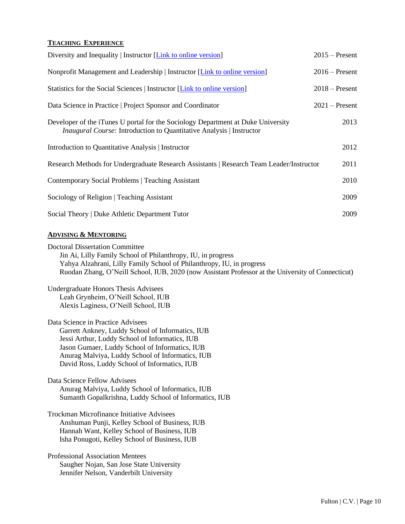# **TEACHING EXPERIENCE**

| Diversity and Inequality   Instructor [Link to online version]                                                                                                  | $2015$ – Present |
|-----------------------------------------------------------------------------------------------------------------------------------------------------------------|------------------|
| Nonprofit Management and Leadership   Instructor [Link to online version]                                                                                       | $2016$ – Present |
| Statistics for the Social Sciences   Instructor [Link to online version]                                                                                        | $2018$ – Present |
| Data Science in Practice   Project Sponsor and Coordinator                                                                                                      | $2021$ – Present |
| Developer of the iTunes U portal for the Sociology Department at Duke University<br><i>Inaugural Course:</i> Introduction to Quantitative Analysis   Instructor | 2013             |
| Introduction to Quantitative Analysis   Instructor                                                                                                              | 2012             |
| Research Methods for Undergraduate Research Assistants   Research Team Leader/Instructor                                                                        | 2011             |
| Contemporary Social Problems   Teaching Assistant                                                                                                               | 2010             |
| Sociology of Religion   Teaching Assistant                                                                                                                      | 2009             |
| Social Theory   Duke Athletic Department Tutor                                                                                                                  | 2009             |
|                                                                                                                                                                 |                  |

# **ADVISING & MENTORING**

Doctoral Dissertation Committee Jin Ai, Lilly Family School of Philanthropy, IU, in progress Yahya Alzahrani, Lilly Family School of Philanthropy, IU, in progress Ruodan Zhang, O'Neill School, IUB, 2020 (now Assistant Professor at the University of Connecticut) Undergraduate Honors Thesis Advisees Leah Grynheim, O'Neill School, IUB Alexis Laginess, O'Neill School, IUB Data Science in Practice Advisees Garrett Ankney, Luddy School of Informatics, IUB Jessi Arthur, Luddy School of Informatics, IUB Jason Gumaer, Luddy School of Informatics, IUB Anurag Malviya, Luddy School of Informatics, IUB David Ross, Luddy School of Informatics, IUB Data Science Fellow Advisees Anurag Malviya, Luddy School of Informatics, IUB Sumanth Gopalkrishna, Luddy School of Informatics, IUB Trockman Microfinance Initiative Advisees Anshuman Punji, Kelley School of Business, IUB Hannah Want, Kelley School of Business, IUB Isha Ponugoti, Kelley School of Business, IUB

Professional Association Mentees Saugher Nojan, San Jose State University Jennifer Nelson, Vanderbilt University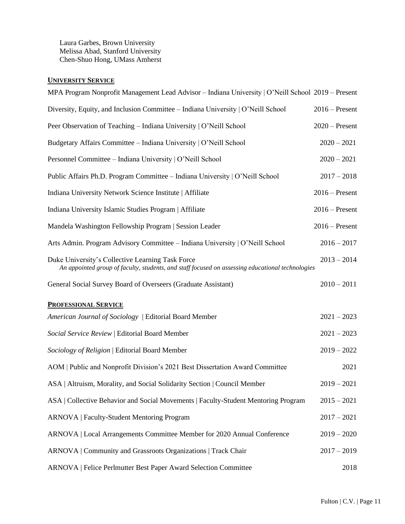Laura Garbes, Brown University Melissa Abad, Stanford University Chen-Shuo Hong, UMass Amherst

# **UNIVERSITY SERVICE**

| MPA Program Nonprofit Management Lead Advisor - Indiana University   O'Neill School 2019 - Present                                                   |                  |
|------------------------------------------------------------------------------------------------------------------------------------------------------|------------------|
| Diversity, Equity, and Inclusion Committee – Indiana University   O'Neill School                                                                     | $2016$ – Present |
| Peer Observation of Teaching - Indiana University   O'Neill School                                                                                   | $2020$ – Present |
| Budgetary Affairs Committee - Indiana University   O'Neill School                                                                                    | $2020 - 2021$    |
| Personnel Committee - Indiana University   O'Neill School                                                                                            | $2020 - 2021$    |
| Public Affairs Ph.D. Program Committee - Indiana University   O'Neill School                                                                         | $2017 - 2018$    |
| Indiana University Network Science Institute   Affiliate                                                                                             | $2016$ – Present |
| Indiana University Islamic Studies Program   Affiliate                                                                                               | $2016$ – Present |
| Mandela Washington Fellowship Program   Session Leader                                                                                               | $2016$ – Present |
| Arts Admin. Program Advisory Committee – Indiana University   O'Neill School                                                                         | $2016 - 2017$    |
| Duke University's Collective Learning Task Force<br>An appointed group of faculty, students, and staff focused on assessing educational technologies | $2013 - 2014$    |
| General Social Survey Board of Overseers (Graduate Assistant)                                                                                        | $2010 - 2011$    |
| <b>PROFESSIONAL SERVICE</b>                                                                                                                          |                  |
| American Journal of Sociology   Editorial Board Member                                                                                               | $2021 - 2023$    |
| Social Service Review   Editorial Board Member                                                                                                       | $2021 - 2023$    |
| Sociology of Religion   Editorial Board Member                                                                                                       | $2019 - 2022$    |
| AOM   Public and Nonprofit Division's 2021 Best Dissertation Award Committee                                                                         | 2021             |
| ASA   Altruism, Morality, and Social Solidarity Section   Council Member                                                                             | $2019 - 2021$    |
| ASA   Collective Behavior and Social Movements   Faculty-Student Mentoring Program                                                                   | $2015 - 2021$    |
| <b>ARNOVA</b>   Faculty-Student Mentoring Program                                                                                                    | $2017 - 2021$    |
| ARNOVA   Local Arrangements Committee Member for 2020 Annual Conference                                                                              | $2019 - 2020$    |
| ARNOVA   Community and Grassroots Organizations   Track Chair                                                                                        | $2017 - 2019$    |
| ARNOVA   Felice Perlmutter Best Paper Award Selection Committee                                                                                      | 2018             |